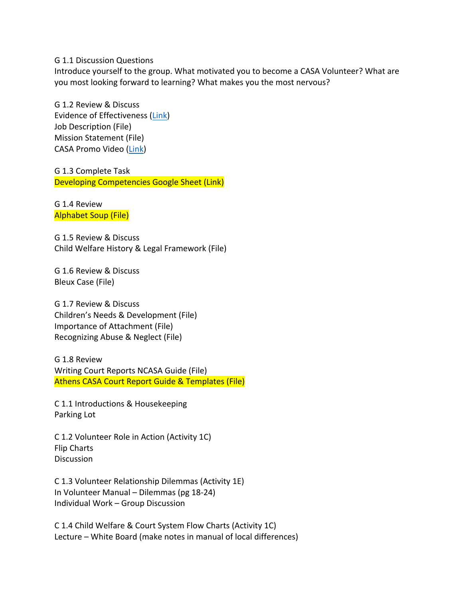G 1.1 Discussion Questions

Introduce yourself to the group. What motivated you to become a CASA Volunteer? What are you most looking forward to learning? What makes you the most nervous?

G 1.2 Review & Discuss Evidence of Effectiveness (Link) Job Description (File) **Mission Statement (File)** CASA Promo Video (Link)

G 1.3 Complete Task Developing Competencies Google Sheet (Link)

G 1.4 Review **Alphabet Soup (File)** 

G 1.5 Review & Discuss Child Welfare History & Legal Framework (File)

G 1.6 Review & Discuss Bleux Case (File)

G 1.7 Review & Discuss Children's Needs & Development (File) Importance of Attachment (File) Recognizing Abuse & Neglect (File)

G 1.8 Review Writing Court Reports NCASA Guide (File) Athens CASA Court Report Guide & Templates (File)

C 1.1 Introductions & Housekeeping Parking Lot

C 1.2 Volunteer Role in Action (Activity 1C) Flip Charts **Discussion** 

C 1.3 Volunteer Relationship Dilemmas (Activity 1E) In Volunteer Manual – Dilemmas (pg 18-24) Individual Work - Group Discussion

C 1.4 Child Welfare & Court System Flow Charts (Activity 1C) Lecture – White Board (make notes in manual of local differences)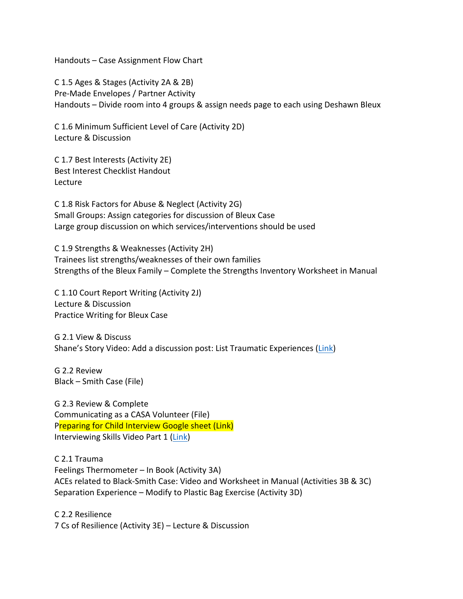Handouts – Case Assignment Flow Chart

C 1.5 Ages & Stages (Activity 2A & 2B) Pre-Made Envelopes / Partner Activity Handouts – Divide room into 4 groups & assign needs page to each using Deshawn Bleux

C 1.6 Minimum Sufficient Level of Care (Activity 2D) Lecture & Discussion

C 1.7 Best Interests (Activity 2E) Best Interest Checklist Handout Lecture

C 1.8 Risk Factors for Abuse & Neglect (Activity 2G) Small Groups: Assign categories for discussion of Bleux Case Large group discussion on which services/interventions should be used

C 1.9 Strengths & Weaknesses (Activity 2H) Trainees list strengths/weaknesses of their own families Strengths of the Bleux Family – Complete the Strengths Inventory Worksheet in Manual

C 1.10 Court Report Writing (Activity 2J) Lecture & Discussion Practice Writing for Bleux Case

G 2.1 View & Discuss Shane's Story Video: Add a discussion post: List Traumatic Experiences (Link)

G 2.2 Review Black – Smith Case (File)

G 2.3 Review & Complete Communicating as a CASA Volunteer (File) Preparing for Child Interview Google sheet (Link) Interviewing Skills Video Part 1 (Link)

C 2.1 Trauma Feelings Thermometer - In Book (Activity 3A) ACEs related to Black-Smith Case: Video and Worksheet in Manual (Activities 3B & 3C) Separation Experience – Modify to Plastic Bag Exercise (Activity 3D)

C 2.2 Resilience 7 Cs of Resilience (Activity 3E) - Lecture & Discussion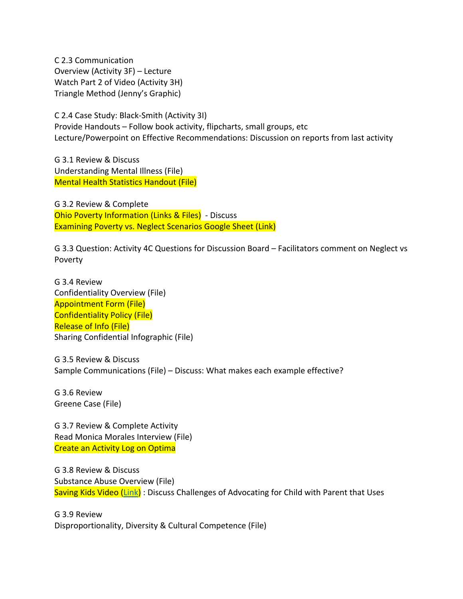C 2.3 Communication Overview (Activity 3F) - Lecture Watch Part 2 of Video (Activity 3H) Triangle Method (Jenny's Graphic)

C 2.4 Case Study: Black-Smith (Activity 3I) Provide Handouts – Follow book activity, flipcharts, small groups, etc Lecture/Powerpoint on Effective Recommendations: Discussion on reports from last activity

G 3.1 Review & Discuss Understanding Mental Illness (File) **Mental Health Statistics Handout (File)** 

G 3.2 Review & Complete Ohio Poverty Information (Links & Files) - Discuss Examining Poverty vs. Neglect Scenarios Google Sheet (Link)

G 3.3 Question: Activity 4C Questions for Discussion Board - Facilitators comment on Neglect vs Poverty

G 3.4 Review Confidentiality Overview (File) **Appointment Form (File) Confidentiality Policy (File) Release of Info (File)** Sharing Confidential Infographic (File)

G 3.5 Review & Discuss Sample Communications (File) - Discuss: What makes each example effective?

G 3.6 Review Greene Case (File)

G 3.7 Review & Complete Activity Read Monica Morales Interview (File) **Create an Activity Log on Optima** 

G 3.8 Review & Discuss Substance Abuse Overview (File) Saving Kids Video (Link) : Discuss Challenges of Advocating for Child with Parent that Uses

G 3.9 Review Disproportionality, Diversity & Cultural Competence (File)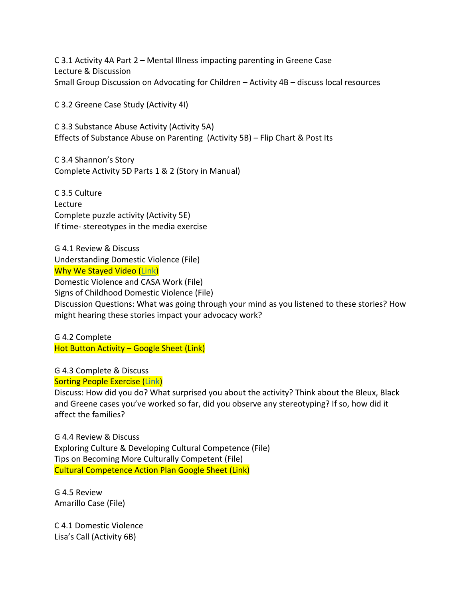C 3.1 Activity 4A Part 2 – Mental Illness impacting parenting in Greene Case Lecture & Discussion Small Group Discussion on Advocating for Children – Activity  $4B -$  discuss local resources

C 3.2 Greene Case Study (Activity 4I)

C 3.3 Substance Abuse Activity (Activity 5A) Effects of Substance Abuse on Parenting (Activity 5B) – Flip Chart & Post Its

C 3.4 Shannon's Story Complete Activity 5D Parts 1 & 2 (Story in Manual)

C 3.5 Culture Lecture Complete puzzle activity (Activity 5E) If time- stereotypes in the media exercise

G 4.1 Review & Discuss Understanding Domestic Violence (File) **Why We Stayed Video (Link)** 

Domestic Violence and CASA Work (File)

Signs of Childhood Domestic Violence (File)

Discussion Questions: What was going through your mind as you listened to these stories? How might hearing these stories impact your advocacy work?

G 4.2 Complete  $Hot$  Button Activity – Google Sheet (Link)

G 4.3 Complete & Discuss

**Sorting People Exercise (Link)** 

Discuss: How did you do? What surprised you about the activity? Think about the Bleux, Black and Greene cases you've worked so far, did you observe any stereotyping? If so, how did it affect the families?

G 4.4 Review & Discuss Exploring Culture & Developing Cultural Competence (File) Tips on Becoming More Culturally Competent (File) **Cultural Competence Action Plan Google Sheet (Link)** 

G 4.5 Review Amarillo Case (File)

C 4.1 Domestic Violence Lisa's Call (Activity 6B)